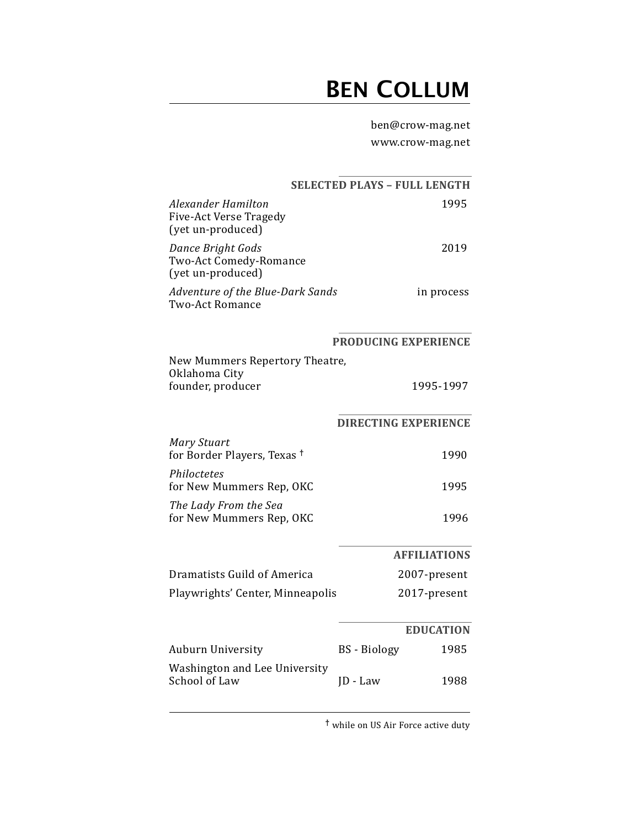## **BEN COLLUM**

ben@crow-mag.net

www.crow-mag.net

|                                                                                 | <b>SELECTED PLAYS - FULL LENGTH</b> |                     |  |
|---------------------------------------------------------------------------------|-------------------------------------|---------------------|--|
| <b>Alexander Hamilton</b><br><b>Five-Act Verse Tragedy</b><br>(yet un-produced) |                                     | 1995                |  |
| Dance Bright Gods<br>Two-Act Comedy-Romance<br>(yet un-produced)                |                                     | 2019                |  |
| Adventure of the Blue-Dark Sands<br><b>Two-Act Romance</b>                      |                                     | in process          |  |
|                                                                                 | PRODUCING EXPERIENCE                |                     |  |
| New Mummers Repertory Theatre,<br>Oklahoma City                                 |                                     |                     |  |
| founder, producer                                                               |                                     | 1995-1997           |  |
|                                                                                 | <b>DIRECTING EXPERIENCE</b>         |                     |  |
| <b>Mary Stuart</b><br>for Border Players, Texas <sup>†</sup>                    |                                     | 1990                |  |
| Philoctetes<br>for New Mummers Rep, OKC                                         |                                     | 1995                |  |
| The Lady From the Sea<br>for New Mummers Rep, OKC                               |                                     | 1996                |  |
|                                                                                 |                                     | <b>AFFILIATIONS</b> |  |
| Dramatists Guild of America                                                     |                                     | 2007-present        |  |
| Playwrights' Center, Minneapolis                                                |                                     | 2017-present        |  |
|                                                                                 |                                     | <b>EDUCATION</b>    |  |
| Auburn University                                                               | <b>BS</b> - Biology                 | 1985                |  |
| Washington and Lee University<br>School of Law                                  | $ID - Law$                          | 1988                |  |
|                                                                                 |                                     |                     |  |

<sup>†</sup> while on US Air Force active duty